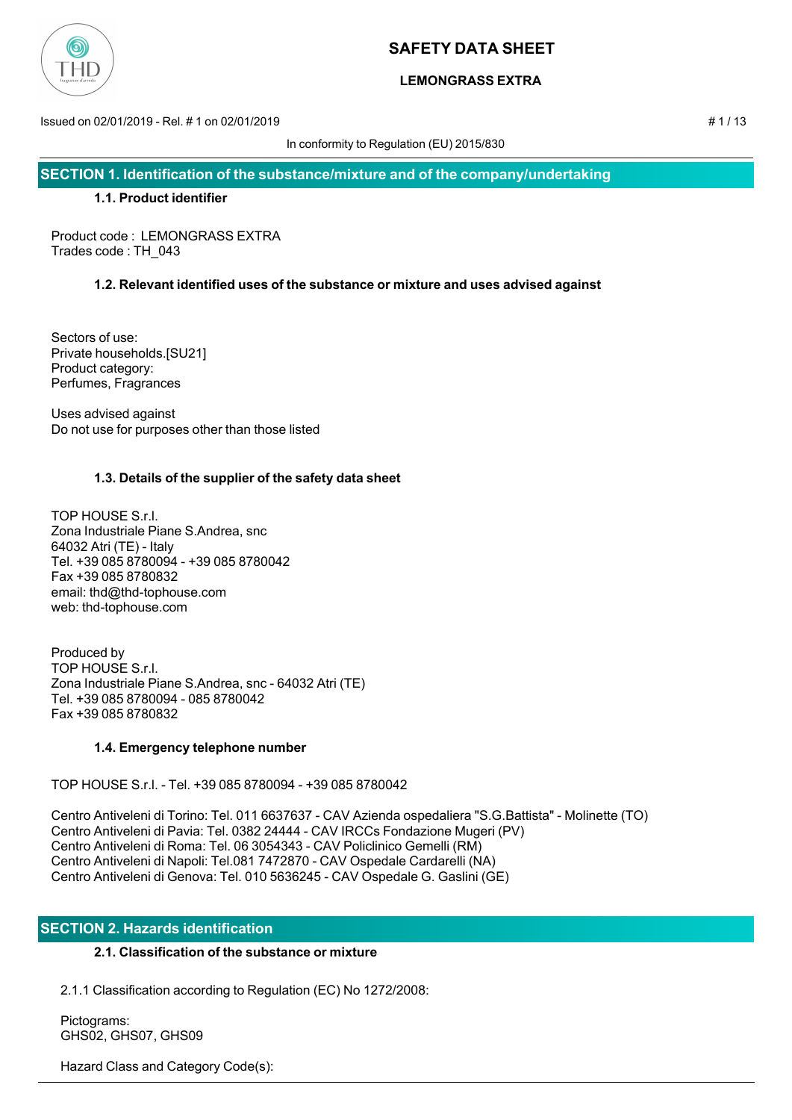

# **LEMONGRASS EXTRA**

Issued on 02/01/2019 - Rel. # 1 on 02/01/2019 # 1 / 13

In conformity to Regulation (EU) 2015/830

**SECTION 1. Identification of the substance/mixture and of the company/undertaking**

## **1.1. Product identifier**

Product code : LEMONGRASS EXTRA Trades code : TH\_043

# **1.2. Relevant identified uses of the substance or mixture and uses advised against**

Sectors of use: Private households.[SU21] Product category: Perfumes, Fragrances

Uses advised against Do not use for purposes other than those listed

# **1.3. Details of the supplier of the safety data sheet**

TOP HOUSE S.r.l. Zona Industriale Piane S.Andrea, snc 64032 Atri (TE) - Italy Tel. +39 085 8780094 - +39 085 8780042 Fax +39 085 8780832 email: thd@thd-tophouse.com web: thd-tophouse.com

Produced by TOP HOUSE S.r.l. Zona Industriale Piane S.Andrea, snc - 64032 Atri (TE) Tel. +39 085 8780094 - 085 8780042 Fax +39 085 8780832

# **1.4. Emergency telephone number**

TOP HOUSE S.r.l. - Tel. +39 085 8780094 - +39 085 8780042

Centro Antiveleni di Torino: Tel. 011 6637637 - CAV Azienda ospedaliera "S.G.Battista" - Molinette (TO) Centro Antiveleni di Pavia: Tel. 0382 24444 - CAV IRCCs Fondazione Mugeri (PV) Centro Antiveleni di Roma: Tel. 06 3054343 - CAV Policlinico Gemelli (RM) Centro Antiveleni di Napoli: Tel.081 7472870 - CAV Ospedale Cardarelli (NA) Centro Antiveleni di Genova: Tel. 010 5636245 - CAV Ospedale G. Gaslini (GE)

# **SECTION 2. Hazards identification**

# **2.1. Classification of the substance or mixture**

2.1.1 Classification according to Regulation (EC) No 1272/2008:

 Pictograms: GHS02, GHS07, GHS09

Hazard Class and Category Code(s):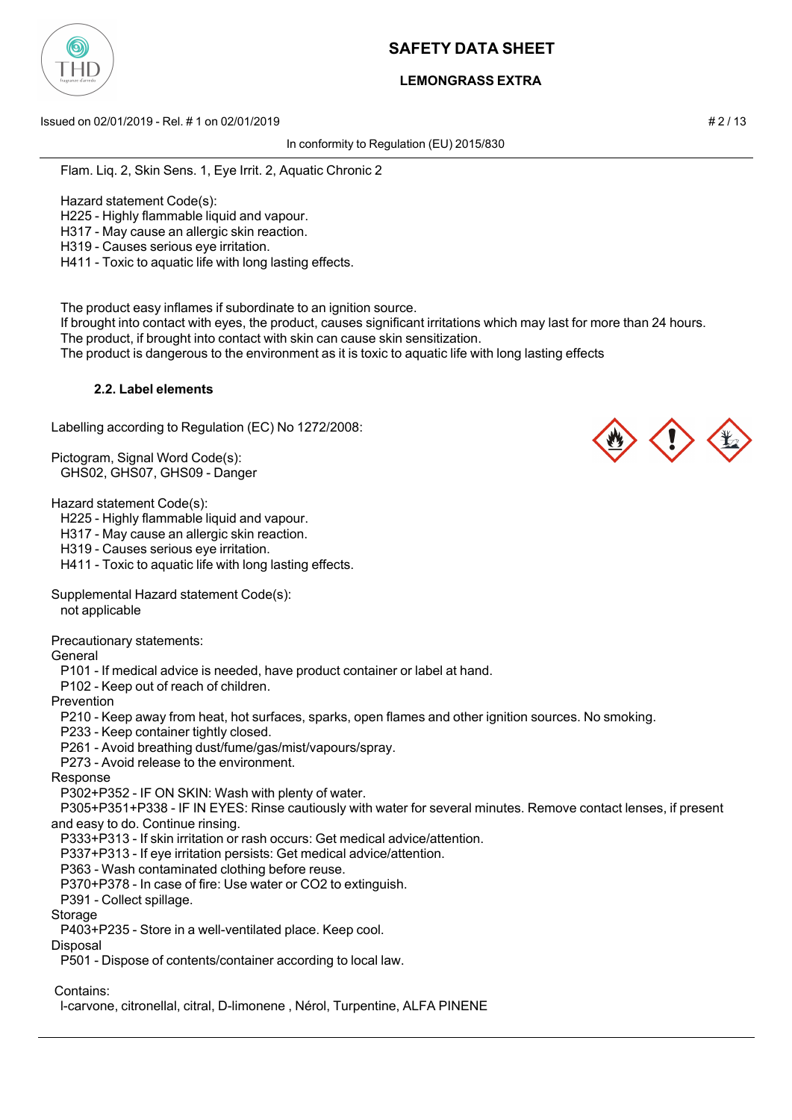

# **LEMONGRASS EXTRA**

Issued on 02/01/2019 - Rel. # 1 on 02/01/2019 # 2 / 13

In conformity to Regulation (EU) 2015/830

Flam. Liq. 2, Skin Sens. 1, Eye Irrit. 2, Aquatic Chronic 2

Hazard statement Code(s):

H225 - Highly flammable liquid and vapour.

H317 - May cause an allergic skin reaction.

H319 - Causes serious eye irritation.

H411 - Toxic to aquatic life with long lasting effects.

The product easy inflames if subordinate to an ignition source.

 If brought into contact with eyes, the product, causes significant irritations which may last for more than 24 hours. The product, if brought into contact with skin can cause skin sensitization.

The product is dangerous to the environment as it is toxic to aquatic life with long lasting effects

## **2.2. Label elements**

Labelling according to Regulation (EC) No 1272/2008:

Pictogram, Signal Word Code(s): GHS02, GHS07, GHS09 - Danger

Hazard statement Code(s):

H225 - Highly flammable liquid and vapour.

H317 - May cause an allergic skin reaction.

H319 - Causes serious eye irritation.

H411 - Toxic to aquatic life with long lasting effects.

Supplemental Hazard statement Code(s):

not applicable

Precautionary statements:

General

P101 - If medical advice is needed, have product container or label at hand.

P102 - Keep out of reach of children.

Prevention

P210 - Keep away from heat, hot surfaces, sparks, open flames and other ignition sources. No smoking.

P233 - Keep container tightly closed.

P261 - Avoid breathing dust/fume/gas/mist/vapours/spray.

P273 - Avoid release to the environment.

Response

P302+P352 - IF ON SKIN: Wash with plenty of water.

 P305+P351+P338 - IF IN EYES: Rinse cautiously with water for several minutes. Remove contact lenses, if present and easy to do. Continue rinsing.

P333+P313 - If skin irritation or rash occurs: Get medical advice/attention.

P337+P313 - If eye irritation persists: Get medical advice/attention.

P363 - Wash contaminated clothing before reuse.

P370+P378 - In case of fire: Use water or CO2 to extinguish.

P391 - Collect spillage.

**Storage** 

P403+P235 - Store in a well-ventilated place. Keep cool.

Disposal

P501 - Dispose of contents/container according to local law.

Contains:

l-carvone, citronellal, citral, D-limonene , Nérol, Turpentine, ALFA PINENE

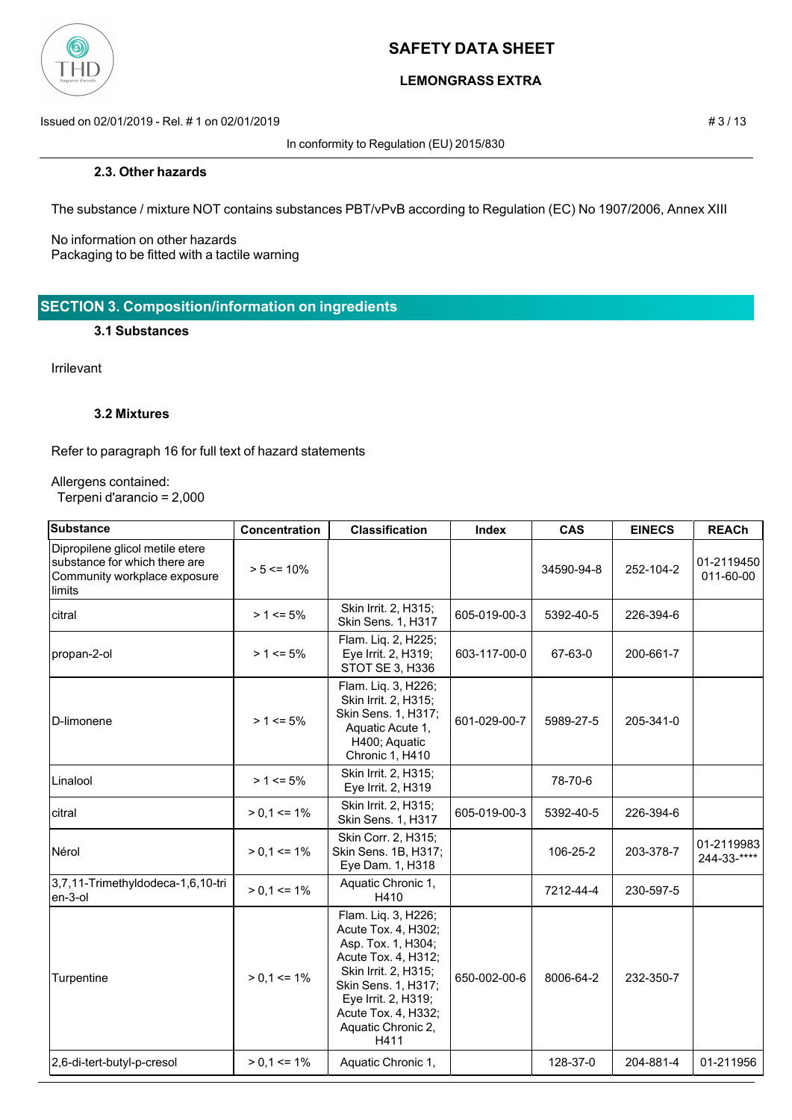

# **LEMONGRASS EXTRA**

Issued on 02/01/2019 - Rel. # 1 on 02/01/2019 **# 3** / 13

In conformity to Regulation (EU) 2015/830

### **2.3. Other hazards**

The substance / mixture NOT contains substances PBT/vPvB according to Regulation (EC) No 1907/2006, Annex XIII

No information on other hazards Packaging to be fitted with a tactile warning

**SECTION 3. Composition/information on ingredients**

## **3.1 Substances**

Irrilevant

### **3.2 Mixtures**

Refer to paragraph 16 for full text of hazard statements

#### Allergens contained:

Terpeni d'arancio = 2,000

| Substance                                                                                                  | Concentration   | <b>Classification</b>                                                                                                                                                                                              | Index        | <b>CAS</b> | <b>EINECS</b> | <b>REACh</b>              |
|------------------------------------------------------------------------------------------------------------|-----------------|--------------------------------------------------------------------------------------------------------------------------------------------------------------------------------------------------------------------|--------------|------------|---------------|---------------------------|
| Dipropilene glicol metile etere<br>substance for which there are<br>Community workplace exposure<br>limits | $> 5 \le 10\%$  |                                                                                                                                                                                                                    |              | 34590-94-8 | 252-104-2     | 01-2119450<br>011-60-00   |
| citral                                                                                                     | $> 1 \le 5\%$   | Skin Irrit. 2, H315;<br>Skin Sens. 1, H317                                                                                                                                                                         | 605-019-00-3 | 5392-40-5  | 226-394-6     |                           |
| propan-2-ol                                                                                                | $> 1 \le 5\%$   | Flam. Liq. 2, H225;<br>Eye Irrit. 2, H319;<br>STOT SE 3, H336                                                                                                                                                      | 603-117-00-0 | 67-63-0    | 200-661-7     |                           |
| D-limonene                                                                                                 | $> 1 \le 5\%$   | Flam. Liq. 3, H226;<br>Skin Irrit. 2, H315;<br>Skin Sens. 1, H317;<br>Aquatic Acute 1,<br>H400; Aquatic<br>Chronic 1, H410                                                                                         | 601-029-00-7 | 5989-27-5  | 205-341-0     |                           |
| Linalool                                                                                                   | $> 1 \le 5\%$   | Skin Irrit. 2, H315;<br>Eye Irrit. 2, H319                                                                                                                                                                         |              | 78-70-6    |               |                           |
| citral                                                                                                     | $> 0.1 \le 1\%$ | Skin Irrit. 2, H315;<br>Skin Sens. 1, H317                                                                                                                                                                         | 605-019-00-3 | 5392-40-5  | 226-394-6     |                           |
| Nérol                                                                                                      | $> 0.1 \le 1\%$ | Skin Corr. 2, H315;<br>Skin Sens. 1B, H317;<br>Eye Dam. 1, H318                                                                                                                                                    |              | 106-25-2   | 203-378-7     | 01-2119983<br>244-33-**** |
| 3,7,11-Trimethyldodeca-1,6,10-tri<br>en-3-ol                                                               | $> 0.1 \le 1\%$ | Aquatic Chronic 1,<br>H410                                                                                                                                                                                         |              | 7212-44-4  | 230-597-5     |                           |
| Turpentine                                                                                                 | $> 0.1 \le 1\%$ | Flam. Liq. 3, H226;<br>Acute Tox. 4, H302;<br>Asp. Tox. 1, H304;<br>Acute Tox. 4, H312;<br>Skin Irrit. 2, H315;<br>Skin Sens. 1, H317;<br>Eye Irrit. 2, H319;<br>Acute Tox. 4, H332;<br>Aquatic Chronic 2,<br>H411 | 650-002-00-6 | 8006-64-2  | 232-350-7     |                           |
| 2,6-di-tert-butyl-p-cresol                                                                                 | $> 0.1 \le 1\%$ | Aquatic Chronic 1,                                                                                                                                                                                                 |              | 128-37-0   | 204-881-4     | 01-211956                 |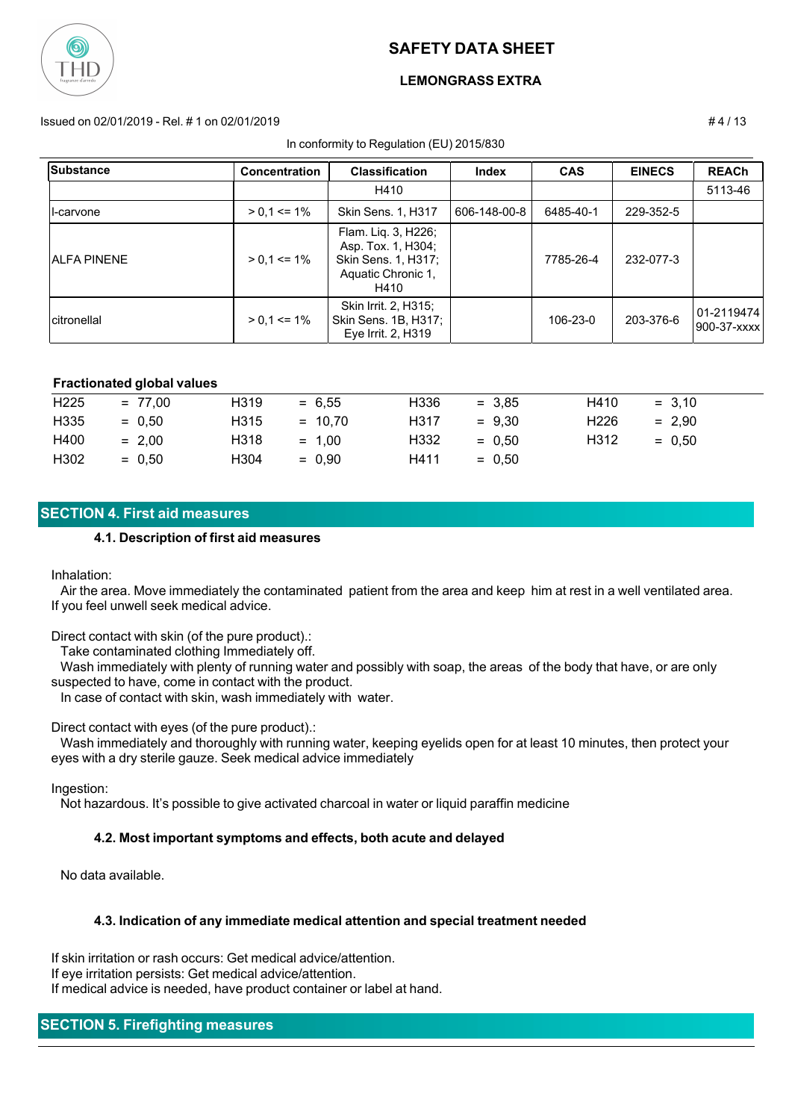

### **LEMONGRASS EXTRA**

#### Issued on 02/01/2019 - Rel. # 1 on 02/01/2019 # 4 / 13

In conformity to Regulation (EU) 2015/830

| <b>Substance</b>    | <b>Concentration</b> | <b>Classification</b>                                                                          | Index        | <b>CAS</b> | <b>EINECS</b> | <b>REACh</b>               |
|---------------------|----------------------|------------------------------------------------------------------------------------------------|--------------|------------|---------------|----------------------------|
|                     |                      | H410                                                                                           |              |            |               | 5113-46                    |
| Il-carvone          | $> 0.1 \le 1\%$      | <b>Skin Sens. 1, H317</b>                                                                      | 606-148-00-8 | 6485-40-1  | 229-352-5     |                            |
| <b>JALFA PINENE</b> | $> 0.1 \le 1\%$      | Flam. Lig. 3, H226;<br>Asp. Tox. 1, H304;<br>Skin Sens. 1, H317;<br>Aquatic Chronic 1,<br>H410 |              | 7785-26-4  | 232-077-3     |                            |
| Icitronellal        | $> 0.1 \le 1\%$      | Skin Irrit. 2, H315;<br>Skin Sens. 1B, H317;<br>Eye Irrit. 2, H319                             |              | 106-23-0   | 203-376-6     | 101-2119474<br>900-37-xxxx |

#### **Fractionated global values**

| H <sub>225</sub> | $= 77.00$ | H319 | $= 6.55$  | H336 | $= 3.85$ | H410             | $= 3.10$ |
|------------------|-----------|------|-----------|------|----------|------------------|----------|
| H335             | $= 0.50$  | H315 | $= 10.70$ | H317 | $= 9.30$ | H <sub>226</sub> | $= 2.90$ |
| H400             | $= 2.00$  | H318 | $= 1.00$  | H332 | $= 0.50$ | H312             | $= 0.50$ |
| H302             | $= 0.50$  | H304 | $= 0.90$  | H411 | $= 0.50$ |                  |          |

### **SECTION 4. First aid measures**

#### **4.1. Description of first aid measures**

#### Inhalation:

 Air the area. Move immediately the contaminated patient from the area and keep him at rest in a well ventilated area. If you feel unwell seek medical advice.

Direct contact with skin (of the pure product).:

Take contaminated clothing Immediately off.

 Wash immediately with plenty of running water and possibly with soap, the areas of the body that have, or are only suspected to have, come in contact with the product.

In case of contact with skin, wash immediately with water.

Direct contact with eyes (of the pure product).:

 Wash immediately and thoroughly with running water, keeping eyelids open for at least 10 minutes, then protect your eyes with a dry sterile gauze. Seek medical advice immediately

Ingestion:

Not hazardous. It's possible to give activated charcoal in water or liquid paraffin medicine

#### **4.2. Most important symptoms and effects, both acute and delayed**

No data available.

#### **4.3. Indication of any immediate medical attention and special treatment needed**

If skin irritation or rash occurs: Get medical advice/attention. If eye irritation persists: Get medical advice/attention. If medical advice is needed, have product container or label at hand.

### **SECTION 5. Firefighting measures**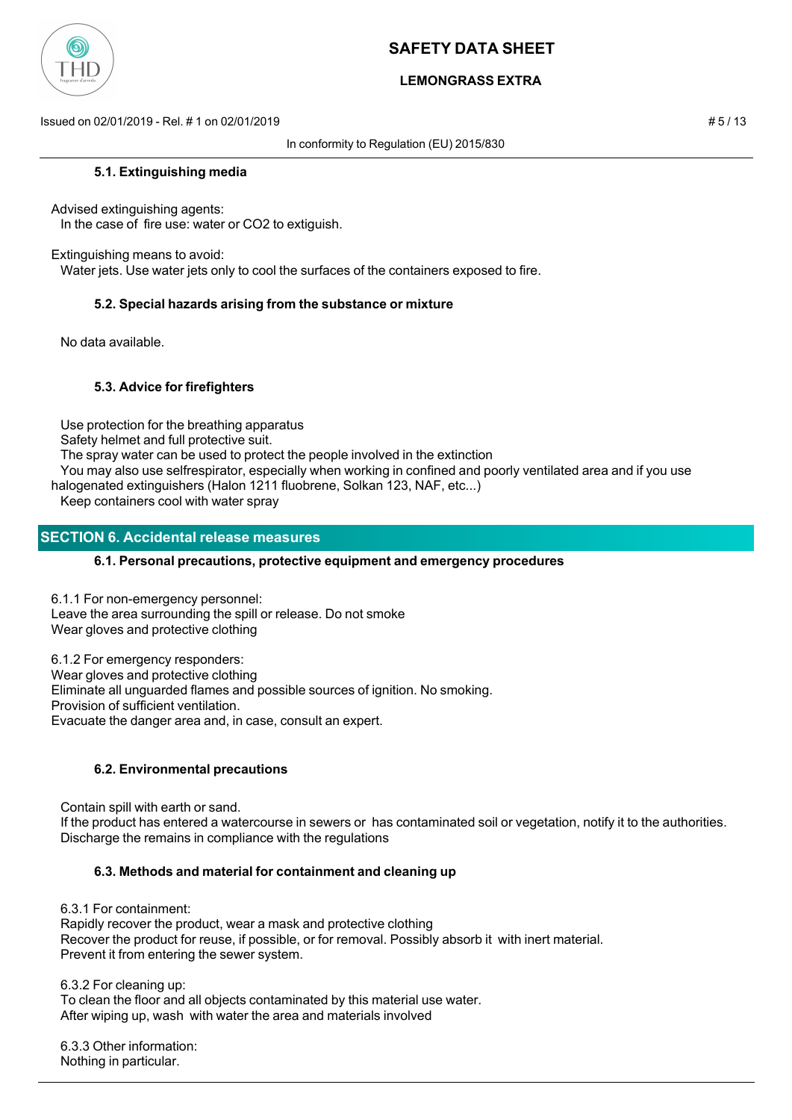

# **LEMONGRASS EXTRA**

Issued on 02/01/2019 - Rel. # 1 on 02/01/2019 # 5 / 13

In conformity to Regulation (EU) 2015/830

### **5.1. Extinguishing media**

Advised extinguishing agents: In the case of fire use: water or CO2 to extiguish.

Extinguishing means to avoid:

Water jets. Use water jets only to cool the surfaces of the containers exposed to fire.

### **5.2. Special hazards arising from the substance or mixture**

No data available.

## **5.3. Advice for firefighters**

 Use protection for the breathing apparatus Safety helmet and full protective suit. The spray water can be used to protect the people involved in the extinction You may also use selfrespirator, especially when working in confined and poorly ventilated area and if you use halogenated extinguishers (Halon 1211 fluobrene, Solkan 123, NAF, etc...) Keep containers cool with water spray

## **SECTION 6. Accidental release measures**

### **6.1. Personal precautions, protective equipment and emergency procedures**

6.1.1 For non-emergency personnel: Leave the area surrounding the spill or release. Do not smoke Wear gloves and protective clothing

6.1.2 For emergency responders: Wear gloves and protective clothing Eliminate all unguarded flames and possible sources of ignition. No smoking. Provision of sufficient ventilation. Evacuate the danger area and, in case, consult an expert.

### **6.2. Environmental precautions**

Contain spill with earth or sand.

 If the product has entered a watercourse in sewers or has contaminated soil or vegetation, notify it to the authorities. Discharge the remains in compliance with the regulations

### **6.3. Methods and material for containment and cleaning up**

 6.3.1 For containment: Rapidly recover the product, wear a mask and protective clothing Recover the product for reuse, if possible, or for removal. Possibly absorb it with inert material. Prevent it from entering the sewer system.

6.3.2 For cleaning up:

 To clean the floor and all objects contaminated by this material use water. After wiping up, wash with water the area and materials involved

 6.3.3 Other information: Nothing in particular.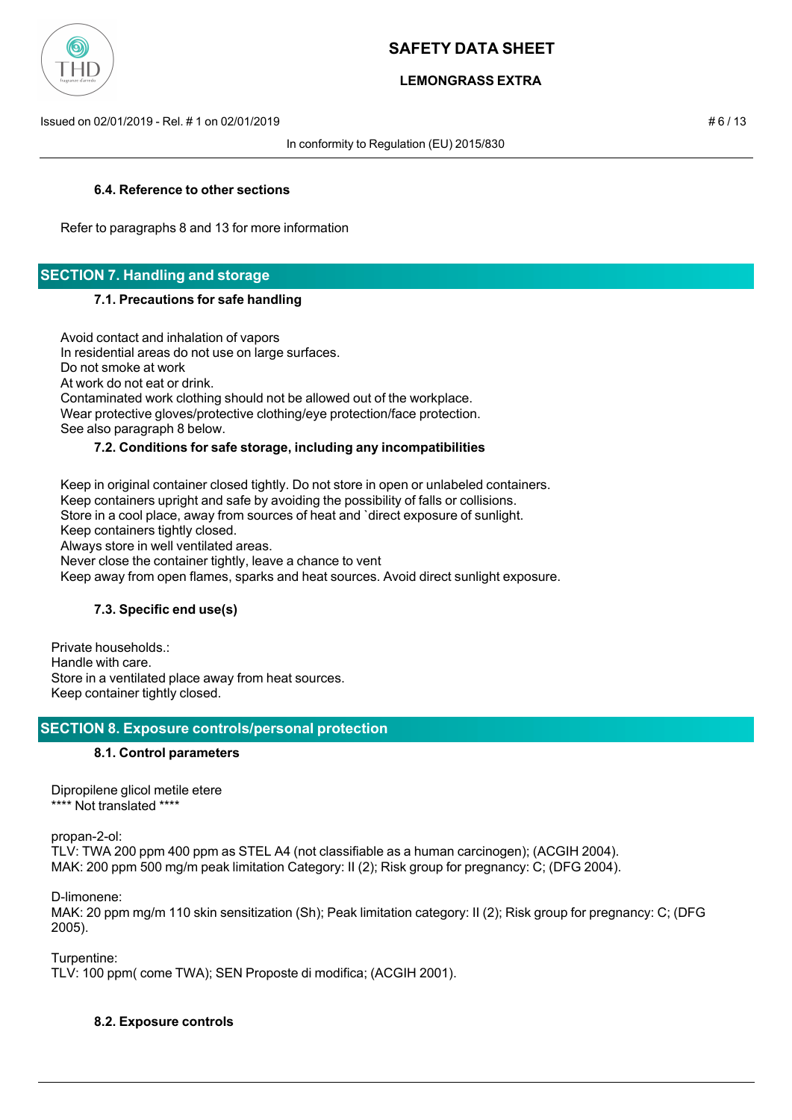

# **LEMONGRASS EXTRA**

Issued on 02/01/2019 - Rel. # 1 on 02/01/2019 # 6 / 13

In conformity to Regulation (EU) 2015/830

## **6.4. Reference to other sections**

Refer to paragraphs 8 and 13 for more information

# **SECTION 7. Handling and storage**

### **7.1. Precautions for safe handling**

 Avoid contact and inhalation of vapors In residential areas do not use on large surfaces. Do not smoke at work At work do not eat or drink. Contaminated work clothing should not be allowed out of the workplace. Wear protective gloves/protective clothing/eye protection/face protection. See also paragraph 8 below.

## **7.2. Conditions for safe storage, including any incompatibilities**

 Keep in original container closed tightly. Do not store in open or unlabeled containers. Keep containers upright and safe by avoiding the possibility of falls or collisions. Store in a cool place, away from sources of heat and `direct exposure of sunlight. Keep containers tightly closed. Always store in well ventilated areas. Never close the container tightly, leave a chance to vent Keep away from open flames, sparks and heat sources. Avoid direct sunlight exposure.

# **7.3. Specific end use(s)**

Private households.: Handle with care. Store in a ventilated place away from heat sources. Keep container tightly closed.

# **SECTION 8. Exposure controls/personal protection**

### **8.1. Control parameters**

Dipropilene glicol metile etere \*\*\*\* Not translated \*\*\*\*

propan-2-ol: TLV: TWA 200 ppm 400 ppm as STEL A4 (not classifiable as a human carcinogen); (ACGIH 2004). MAK: 200 ppm 500 mg/m peak limitation Category: II (2); Risk group for pregnancy: C; (DFG 2004).

D-limonene:

MAK: 20 ppm mg/m 110 skin sensitization (Sh); Peak limitation category: II (2); Risk group for pregnancy: C; (DFG 2005).

Turpentine: TLV: 100 ppm( come TWA); SEN Proposte di modifica; (ACGIH 2001).

### **8.2. Exposure controls**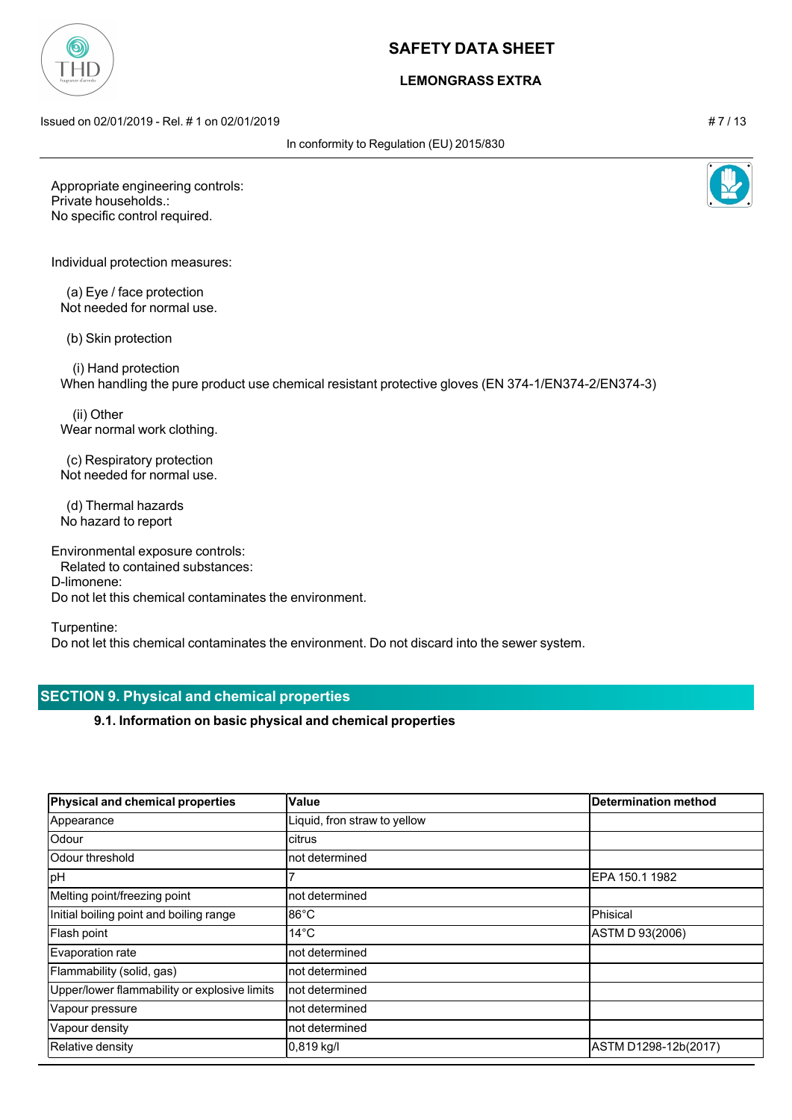## **LEMONGRASS EXTRA**

Issued on 02/01/2019 - Rel. # 1 on 02/01/2019 # 7 / 13

In conformity to Regulation (EU) 2015/830

Appropriate engineering controls: Private households.: No specific control required.

Individual protection measures:

 (a) Eye / face protection Not needed for normal use.

(b) Skin protection

 (i) Hand protection When handling the pure product use chemical resistant protective gloves (EN 374-1/EN374-2/EN374-3)

 (ii) Other Wear normal work clothing.

 (c) Respiratory protection Not needed for normal use.

 (d) Thermal hazards No hazard to report

Environmental exposure controls:

Related to contained substances:

D-limonene:

Do not let this chemical contaminates the environment.

Turpentine:

Do not let this chemical contaminates the environment. Do not discard into the sewer system.

# **SECTION 9. Physical and chemical properties**

**9.1. Information on basic physical and chemical properties**

| Physical and chemical properties             | Value                        | Determination method |
|----------------------------------------------|------------------------------|----------------------|
| Appearance                                   | Liquid, fron straw to yellow |                      |
| Odour                                        | citrus                       |                      |
| Odour threshold                              | not determined               |                      |
| pH                                           |                              | IEPA 150.1 1982      |
| Melting point/freezing point                 | not determined               |                      |
| Initial boiling point and boiling range      | $86^{\circ}$ C               | <b>Phisical</b>      |
| Flash point                                  | $14^{\circ}$ C               | ASTM D 93(2006)      |
| Evaporation rate                             | not determined               |                      |
| Flammability (solid, gas)                    | not determined               |                      |
| Upper/lower flammability or explosive limits | not determined               |                      |
| Vapour pressure                              | not determined               |                      |
| Vapour density                               | not determined               |                      |
| Relative density                             | $0,819$ kg/l                 | ASTM D1298-12b(2017) |



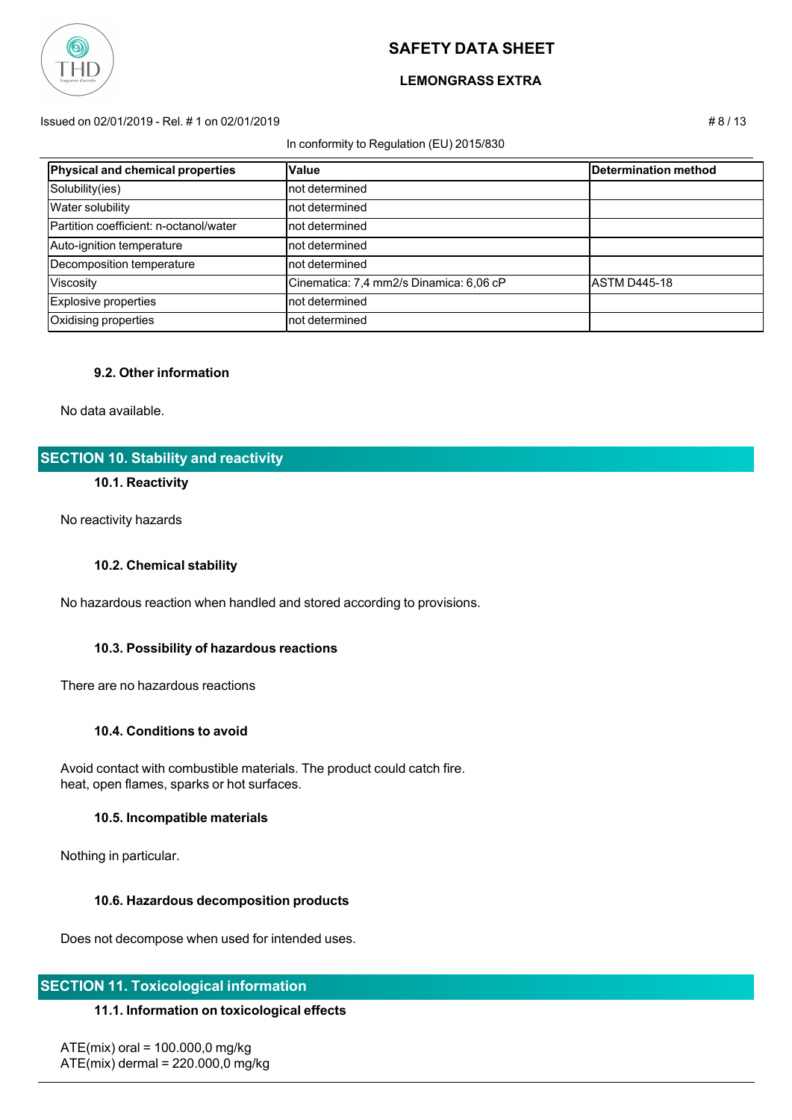

### **LEMONGRASS EXTRA**

#### Issued on 02/01/2019 - Rel. # 1 on 02/01/2019 # 8 / 13

#### In conformity to Regulation (EU) 2015/830

| Physical and chemical properties       | Value                                   | Determination method |
|----------------------------------------|-----------------------------------------|----------------------|
| Solubility(ies)                        | not determined                          |                      |
| <b>Water solubility</b>                | not determined                          |                      |
| Partition coefficient: n-octanol/water | not determined                          |                      |
| Auto-ignition temperature              | not determined                          |                      |
| Decomposition temperature              | not determined                          |                      |
| Viscosity                              | Cinematica: 7,4 mm2/s Dinamica: 6,06 cP | IASTM D445-18        |
| Explosive properties                   | not determined                          |                      |
| Oxidising properties                   | not determined                          |                      |

### **9.2. Other information**

No data available.

# **SECTION 10. Stability and reactivity**

### **10.1. Reactivity**

No reactivity hazards

### **10.2. Chemical stability**

No hazardous reaction when handled and stored according to provisions.

### **10.3. Possibility of hazardous reactions**

There are no hazardous reactions

#### **10.4. Conditions to avoid**

 Avoid contact with combustible materials. The product could catch fire. heat, open flames, sparks or hot surfaces.

#### **10.5. Incompatible materials**

Nothing in particular.

#### **10.6. Hazardous decomposition products**

Does not decompose when used for intended uses.

### **SECTION 11. Toxicological information**

### **11.1. Information on toxicological effects**

 $ATE(mix)$  oral = 100.000,0 mg/kg ATE(mix) dermal = 220.000,0 mg/kg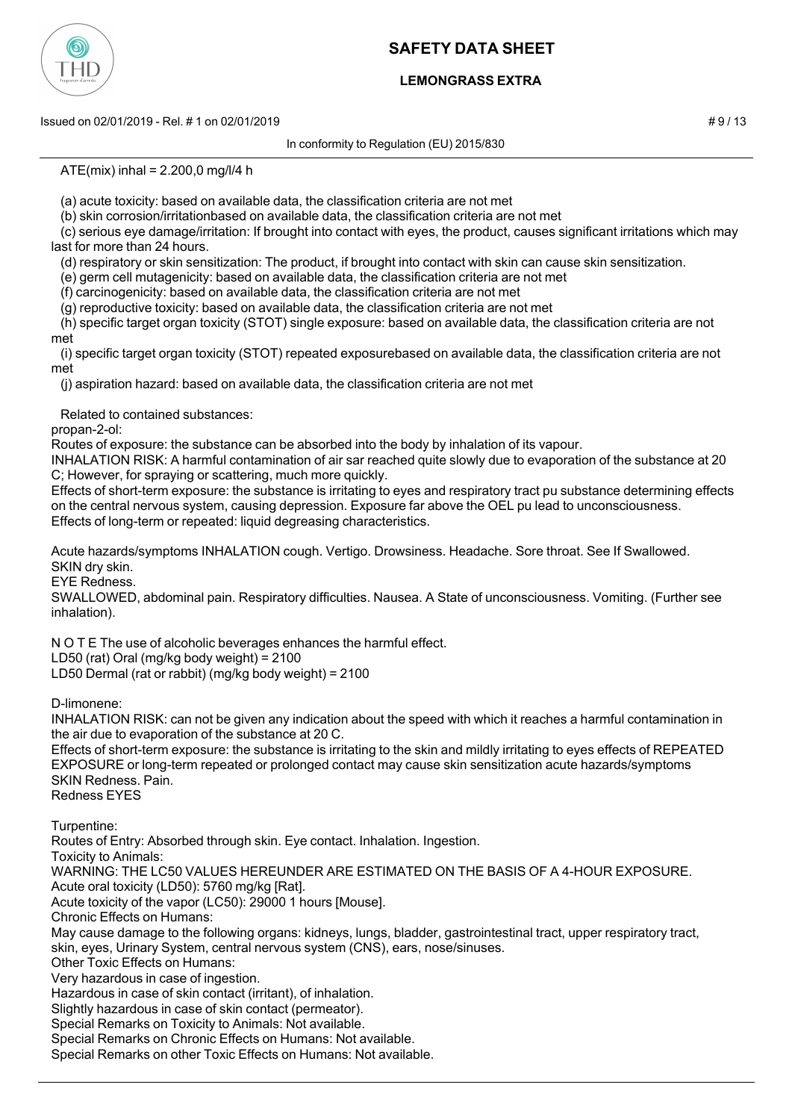

# **LEMONGRASS EXTRA**

Issued on 02/01/2019 - Rel. # 1 on 02/01/2019 **Assumed by a structure of the structure of the structure of the structure of the structure of the structure of the structure of the structure of the structure of the structure** 

In conformity to Regulation (EU) 2015/830

 $ATE(mix)$  inhal = 2.200,0 mg/l/4 h

(a) acute toxicity: based on available data, the classification criteria are not met

(b) skin corrosion/irritationbased on available data, the classification criteria are not met

 (c) serious eye damage/irritation: If brought into contact with eyes, the product, causes significant irritations which may last for more than 24 hours.

(d) respiratory or skin sensitization: The product, if brought into contact with skin can cause skin sensitization.

(e) germ cell mutagenicity: based on available data, the classification criteria are not met

(f) carcinogenicity: based on available data, the classification criteria are not met

(g) reproductive toxicity: based on available data, the classification criteria are not met

 (h) specific target organ toxicity (STOT) single exposure: based on available data, the classification criteria are not met

 (i) specific target organ toxicity (STOT) repeated exposurebased on available data, the classification criteria are not met

(j) aspiration hazard: based on available data, the classification criteria are not met

Related to contained substances:

propan-2-ol:

Routes of exposure: the substance can be absorbed into the body by inhalation of its vapour.

INHALATION RISK: A harmful contamination of air sar reached quite slowly due to evaporation of the substance at 20 C; However, for spraying or scattering, much more quickly.

Effects of short-term exposure: the substance is irritating to eyes and respiratory tract pu substance determining effects on the central nervous system, causing depression. Exposure far above the OEL pu lead to unconsciousness. Effects of long-term or repeated: liquid degreasing characteristics.

Acute hazards/symptoms INHALATION cough. Vertigo. Drowsiness. Headache. Sore throat. See If Swallowed. SKIN dry skin.

EYE Redness.

SWALLOWED, abdominal pain. Respiratory difficulties. Nausea. A State of unconsciousness. Vomiting. (Further see inhalation).

N O T E The use of alcoholic beverages enhances the harmful effect.

LD50 (rat) Oral (mg/kg body weight) = 2100

LD50 Dermal (rat or rabbit) (mg/kg body weight) = 2100

D-limonene:

INHALATION RISK: can not be given any indication about the speed with which it reaches a harmful contamination in the air due to evaporation of the substance at 20 C.

Effects of short-term exposure: the substance is irritating to the skin and mildly irritating to eyes effects of REPEATED EXPOSURE or long-term repeated or prolonged contact may cause skin sensitization acute hazards/symptoms SKIN Redness. Pain.

Redness EYES

Turpentine:

Routes of Entry: Absorbed through skin. Eye contact. Inhalation. Ingestion.

Toxicity to Animals:

WARNING: THE LC50 VALUES HEREUNDER ARE ESTIMATED ON THE BASIS OF A 4-HOUR EXPOSURE. Acute oral toxicity (LD50): 5760 mg/kg [Rat].

Acute toxicity of the vapor (LC50): 29000 1 hours [Mouse].

Chronic Effects on Humans:

May cause damage to the following organs: kidneys, lungs, bladder, gastrointestinal tract, upper respiratory tract, skin, eyes, Urinary System, central nervous system (CNS), ears, nose/sinuses.

Other Toxic Effects on Humans:

Very hazardous in case of ingestion.

Hazardous in case of skin contact (irritant), of inhalation.

Slightly hazardous in case of skin contact (permeator).

Special Remarks on Toxicity to Animals: Not available.

Special Remarks on Chronic Effects on Humans: Not available.

Special Remarks on other Toxic Effects on Humans: Not available.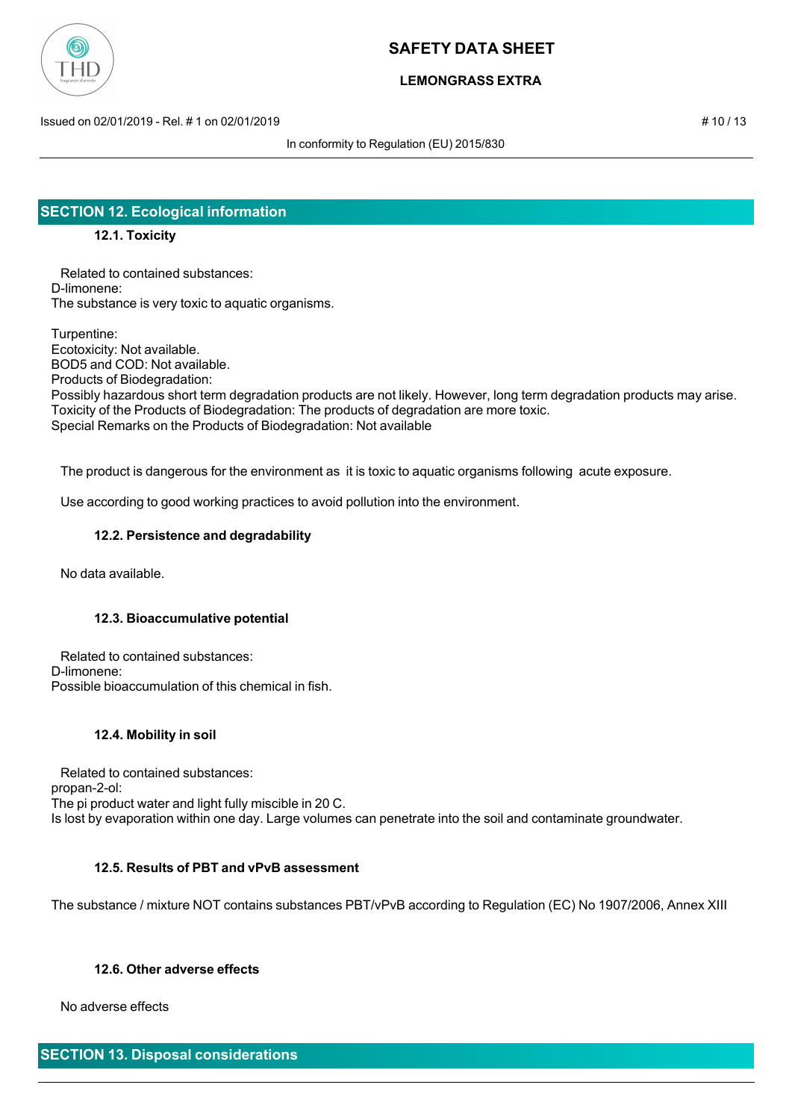

# **LEMONGRASS EXTRA**

Issued on 02/01/2019 - Rel. # 1 on 02/01/2019 **# 10 / 13** Sued on 02/01/2019 **# 10** / 13

In conformity to Regulation (EU) 2015/830

# **SECTION 12. Ecological information**

## **12.1. Toxicity**

 Related to contained substances: D-limonene: The substance is very toxic to aquatic organisms.

Turpentine: Ecotoxicity: Not available. BOD5 and COD: Not available. Products of Biodegradation: Possibly hazardous short term degradation products are not likely. However, long term degradation products may arise. Toxicity of the Products of Biodegradation: The products of degradation are more toxic. Special Remarks on the Products of Biodegradation: Not available

The product is dangerous for the environment as it is toxic to aquatic organisms following acute exposure.

Use according to good working practices to avoid pollution into the environment.

### **12.2. Persistence and degradability**

No data available.

### **12.3. Bioaccumulative potential**

 Related to contained substances: D-limonene: Possible bioaccumulation of this chemical in fish.

### **12.4. Mobility in soil**

 Related to contained substances: propan-2-ol: The pi product water and light fully miscible in 20 C. Is lost by evaporation within one day. Large volumes can penetrate into the soil and contaminate groundwater.

### **12.5. Results of PBT and vPvB assessment**

The substance / mixture NOT contains substances PBT/vPvB according to Regulation (EC) No 1907/2006, Annex XIII

### **12.6. Other adverse effects**

No adverse effects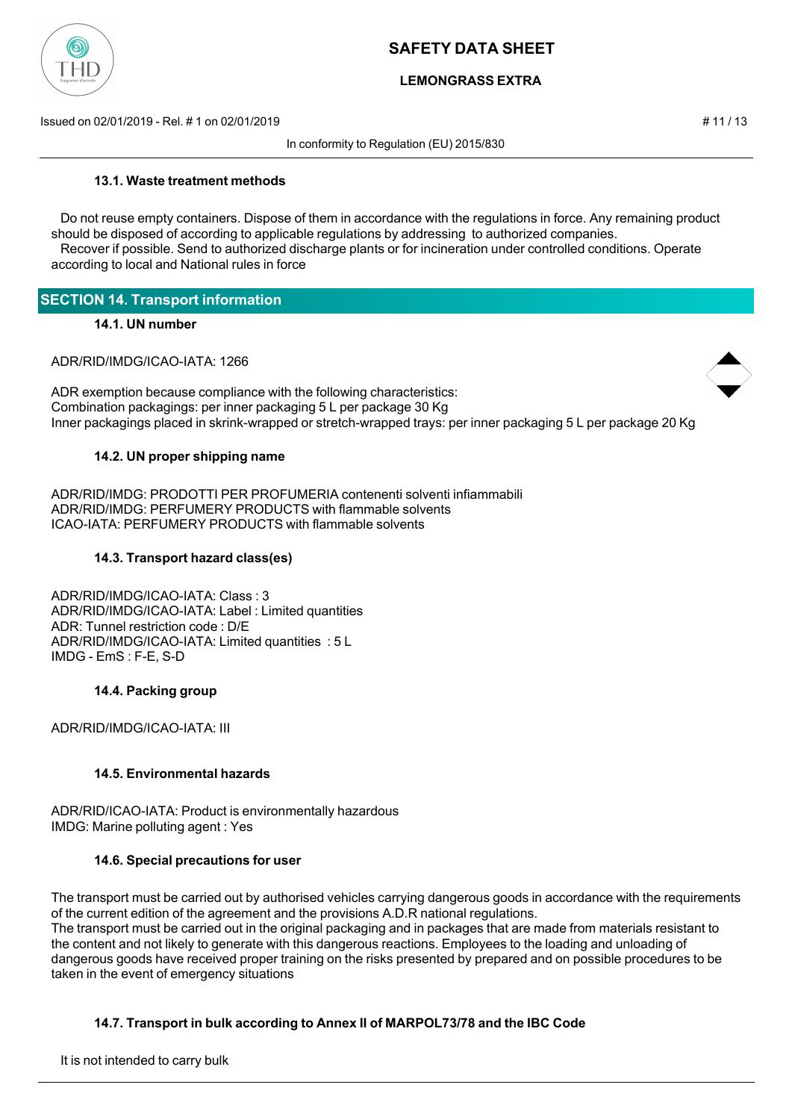

# **LEMONGRASS EXTRA**

Issued on 02/01/2019 - Rel. # 1 on 02/01/2019 # 11 / 13

In conformity to Regulation (EU) 2015/830

### **13.1. Waste treatment methods**

 Do not reuse empty containers. Dispose of them in accordance with the regulations in force. Any remaining product should be disposed of according to applicable regulations by addressing to authorized companies. Recover if possible. Send to authorized discharge plants or for incineration under controlled conditions. Operate according to local and National rules in force

| <b>SECTION 14. Transport information</b> |
|------------------------------------------|
|------------------------------------------|

#### **14.1. UN number**

ADR/RID/IMDG/ICAO-IATA: 1266

ADR exemption because compliance with the following characteristics: Combination packagings: per inner packaging 5 L per package 30 Kg Inner packagings placed in skrink-wrapped or stretch-wrapped trays: per inner packaging 5 L per package 20 Kg

### **14.2. UN proper shipping name**

ADR/RID/IMDG: PRODOTTI PER PROFUMERIA contenenti solventi infiammabili ADR/RID/IMDG: PERFUMERY PRODUCTS with flammable solvents ICAO-IATA: PERFUMERY PRODUCTS with flammable solvents

### **14.3. Transport hazard class(es)**

ADR/RID/IMDG/ICAO-IATA: Class : 3 ADR/RID/IMDG/ICAO-IATA: Label : Limited quantities ADR: Tunnel restriction code : D/E ADR/RID/IMDG/ICAO-IATA: Limited quantities : 5 L IMDG - EmS : F-E, S-D

#### **14.4. Packing group**

ADR/RID/IMDG/ICAO-IATA: III

### **14.5. Environmental hazards**

ADR/RID/ICAO-IATA: Product is environmentally hazardous IMDG: Marine polluting agent : Yes

### **14.6. Special precautions for user**

The transport must be carried out by authorised vehicles carrying dangerous goods in accordance with the requirements of the current edition of the agreement and the provisions A.D.R national regulations. The transport must be carried out in the original packaging and in packages that are made from materials resistant to the content and not likely to generate with this dangerous reactions. Employees to the loading and unloading of dangerous goods have received proper training on the risks presented by prepared and on possible procedures to be taken in the event of emergency situations

### **14.7. Transport in bulk according to Annex II of MARPOL73/78 and the IBC Code**

It is not intended to carry bulk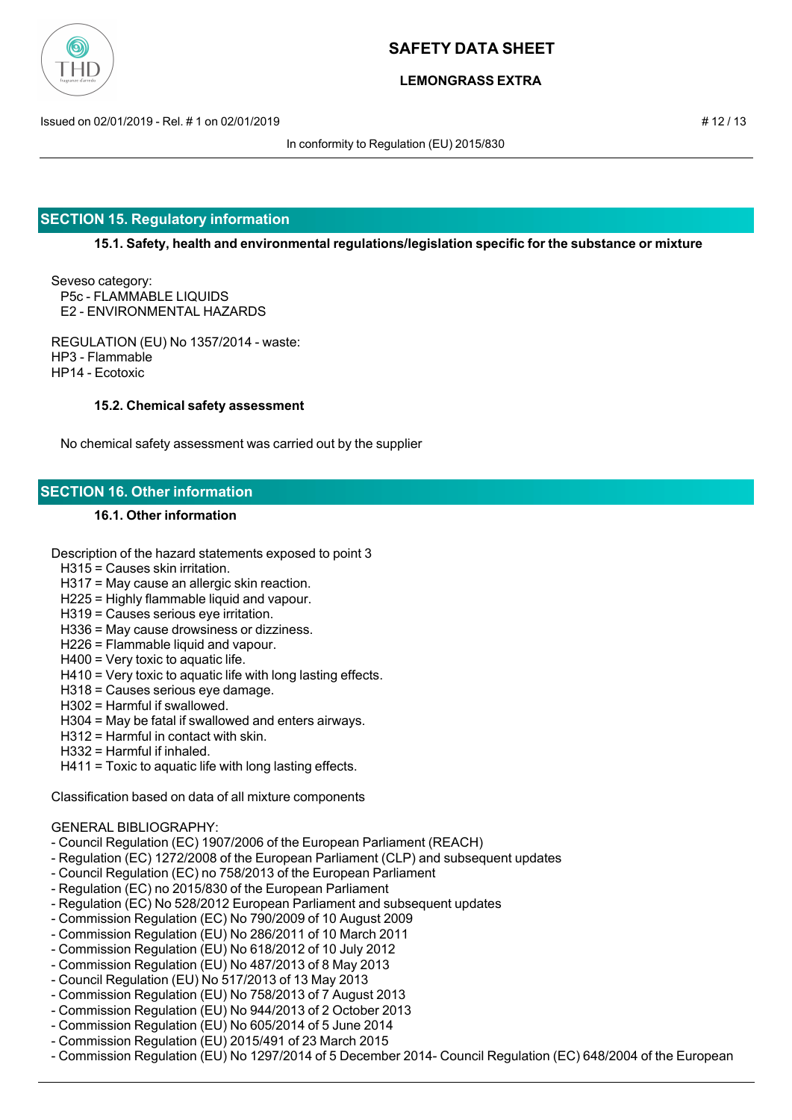

## **LEMONGRASS EXTRA**

Issued on 02/01/2019 - Rel. # 1 on 02/01/2019 # 12 / 13

In conformity to Regulation (EU) 2015/830

# **SECTION 15. Regulatory information**

**15.1. Safety, health and environmental regulations/legislation specific for the substance or mixture**

Seveso category: P5c - FLAMMABLE LIQUIDS E2 - ENVIRONMENTAL HAZARDS

REGULATION (EU) No 1357/2014 - waste: HP3 - Flammable HP14 - Ecotoxic

### **15.2. Chemical safety assessment**

No chemical safety assessment was carried out by the supplier

## **SECTION 16. Other information**

### **16.1. Other information**

Description of the hazard statements exposed to point 3

- H315 = Causes skin irritation.
- H317 = May cause an allergic skin reaction.
- H225 = Highly flammable liquid and vapour.
- H319 = Causes serious eye irritation.
- H336 = May cause drowsiness or dizziness.
- H226 = Flammable liquid and vapour.
- H400 = Very toxic to aquatic life.
- H410 = Very toxic to aquatic life with long lasting effects.
- H318 = Causes serious eye damage.
- H302 = Harmful if swallowed.
- H304 = May be fatal if swallowed and enters airways.
- H312 = Harmful in contact with skin.
- H332 = Harmful if inhaled.
- H411 = Toxic to aquatic life with long lasting effects.

Classification based on data of all mixture components

#### GENERAL BIBLIOGRAPHY:

- Council Regulation (EC) 1907/2006 of the European Parliament (REACH)
- Regulation (EC) 1272/2008 of the European Parliament (CLP) and subsequent updates
- Council Regulation (EC) no 758/2013 of the European Parliament
- Regulation (EC) no 2015/830 of the European Parliament
- Regulation (EC) No 528/2012 European Parliament and subsequent updates
- Commission Regulation (EC) No 790/2009 of 10 August 2009
- Commission Regulation (EU) No 286/2011 of 10 March 2011
- Commission Regulation (EU) No 618/2012 of 10 July 2012
- Commission Regulation (EU) No 487/2013 of 8 May 2013
- Council Regulation (EU) No 517/2013 of 13 May 2013
- Commission Regulation (EU) No 758/2013 of 7 August 2013
- Commission Regulation (EU) No 944/2013 of 2 October 2013
- Commission Regulation (EU) No 605/2014 of 5 June 2014
- Commission Regulation (EU) 2015/491 of 23 March 2015
- Commission Regulation (EU) No 1297/2014 of 5 December 2014- Council Regulation (EC) 648/2004 of the European